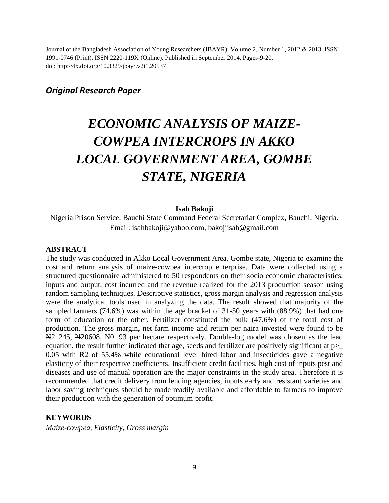Journal of the Bangladesh Association of Young Researchers (JBAYR): Volume 2, Number 1, 2012 & 2013. ISSN 1991-0746 (Print), ISSN 2220-119X (Online). Published in September 2014, Pages-9-20. doi: http://dx.doi.org/10.3329/jbayr.v2i1.20537

# *Original Research Paper*

# *ECONOMIC ANALYSIS OF MAIZE-COWPEA INTERCROPS IN AKKO LOCAL GOVERNMENT AREA, GOMBE STATE, NIGERIA*

#### **Isah Bakoji**

Nigeria Prison Service, Bauchi State Command Federal Secretariat Complex, Bauchi, Nigeria. Email: isahbakoji@yahoo.com, bakojiisah@gmail.com

#### **ABSTRACT**

The study was conducted in Akko Local Government Area, Gombe state, Nigeria to examine the cost and return analysis of maize-cowpea intercrop enterprise. Data were collected using a structured questionnaire administered to 50 respondents on their socio economic characteristics, inputs and output, cost incurred and the revenue realized for the 2013 production season using random sampling techniques. Descriptive statistics, gross margin analysis and regression analysis were the analytical tools used in analyzing the data. The result showed that majority of the sampled farmers (74.6%) was within the age bracket of 31-50 years with (88.9%) that had one form of education or the other. Fertilizer constituted the bulk (47.6%) of the total cost of production. The gross margin, net farm income and return per naira invested were found to be N21245, N20608, N0. 93 per hectare respectively. Double-log model was chosen as the lead equation, the result further indicated that age, seeds and fertilizer are positively significant at p>\_ 0.05 with R2 of 55.4% while educational level hired labor and insecticides gave a negative elasticity of their respective coefficients. Insufficient credit facilities, high cost of inputs pest and diseases and use of manual operation are the major constraints in the study area. Therefore it is recommended that credit delivery from lending agencies, inputs early and resistant varieties and labor saving techniques should be made readily available and affordable to farmers to improve their production with the generation of optimum profit.

#### **KEYWORDS**

*Maize-cowpea, Elasticity, Gross margin*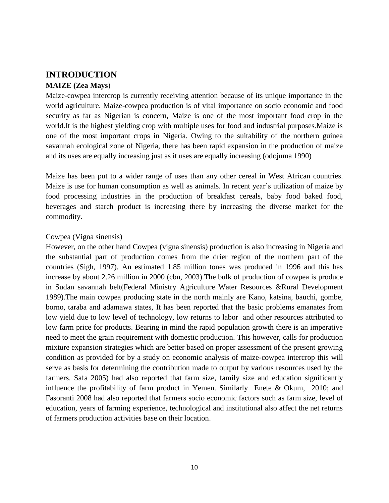# **INTRODUCTION**

#### **MAIZE (Zea Mays**)

Maize-cowpea intercrop is currently receiving attention because of its unique importance in the world agriculture. Maize-cowpea production is of vital importance on socio economic and food security as far as Nigerian is concern, Maize is one of the most important food crop in the world.It is the highest yielding crop with multiple uses for food and industrial purposes.Maize is one of the most important crops in Nigeria. Owing to the suitability of the northern guinea savannah ecological zone of Nigeria, there has been rapid expansion in the production of maize and its uses are equally increasing just as it uses are equally increasing (odojuma 1990)

Maize has been put to a wider range of uses than any other cereal in West African countries. Maize is use for human consumption as well as animals. In recent year's utilization of maize by food processing industries in the production of breakfast cereals, baby food baked food, beverages and starch product is increasing there by increasing the diverse market for the commodity.

#### Cowpea (Vigna sinensis)

However, on the other hand Cowpea (vigna sinensis) production is also increasing in Nigeria and the substantial part of production comes from the drier region of the northern part of the countries (Sigh, 1997). An estimated 1.85 million tones was produced in 1996 and this has increase by about 2.26 million in 2000 (cbn, 2003).The bulk of production of cowpea is produce in Sudan savannah belt(Federal Ministry Agriculture Water Resources &Rural Development 1989).The main cowpea producing state in the north mainly are Kano, katsina, bauchi, gombe, borno, taraba and adamawa states, It has been reported that the basic problems emanates from low yield due to low level of technology, low returns to labor and other resources attributed to low farm price for products. Bearing in mind the rapid population growth there is an imperative need to meet the grain requirement with domestic production. This however, calls for production mixture expansion strategies which are better based on proper assessment of the present growing condition as provided for by a study on economic analysis of maize-cowpea intercrop this will serve as basis for determining the contribution made to output by various resources used by the farmers. Safa 2005) had also reported that farm size, family size and education significantly influence the profitability of farm product in Yemen. Similarly Enete & Okum, 2010; and Fasoranti 2008 had also reported that farmers socio economic factors such as farm size, level of education, years of farming experience, technological and institutional also affect the net returns of farmers production activities base on their location.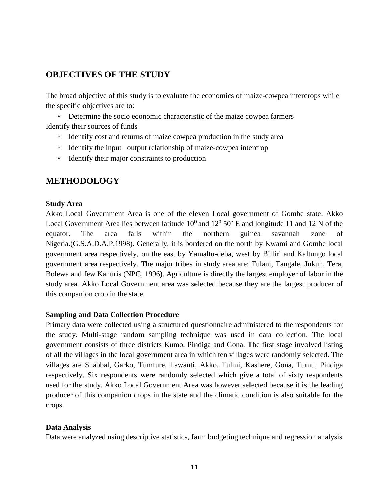# **OBJECTIVES OF THE STUDY**

The broad objective of this study is to evaluate the economics of maize-cowpea intercrops while the specific objectives are to:

 Determine the socio economic characteristic of the maize cowpea farmers Identify their sources of funds

- \* Identify cost and returns of maize cowpea production in the study area
- Identify the input –output relationship of maize-cowpea intercrop
- Identify their major constraints to production

# **METHODOLOGY**

#### **Study Area**

Akko Local Government Area is one of the eleven Local government of Gombe state. Akko Local Government Area lies between latitude  $10^0$  and  $12^0$  50' E and longitude 11 and 12 N of the equator. The area falls within the northern guinea savannah zone of Nigeria.(G.S.A.D.A.P,1998). Generally, it is bordered on the north by Kwami and Gombe local government area respectively, on the east by Yamaltu-deba, west by Billiri and Kaltungo local government area respectively. The major tribes in study area are: Fulani, Tangale, Jukun, Tera, Bolewa and few Kanuris (NPC, 1996). Agriculture is directly the largest employer of labor in the study area. Akko Local Government area was selected because they are the largest producer of this companion crop in the state.

#### **Sampling and Data Collection Procedure**

Primary data were collected using a structured questionnaire administered to the respondents for the study. Multi-stage random sampling technique was used in data collection. The local government consists of three districts Kumo, Pindiga and Gona. The first stage involved listing of all the villages in the local government area in which ten villages were randomly selected. The villages are Shabbal, Garko, Tumfure, Lawanti, Akko, Tulmi, Kashere, Gona, Tumu, Pindiga respectively. Six respondents were randomly selected which give a total of sixty respondents used for the study. Akko Local Government Area was however selected because it is the leading producer of this companion crops in the state and the climatic condition is also suitable for the crops.

#### **Data Analysis**

Data were analyzed using descriptive statistics, farm budgeting technique and regression analysis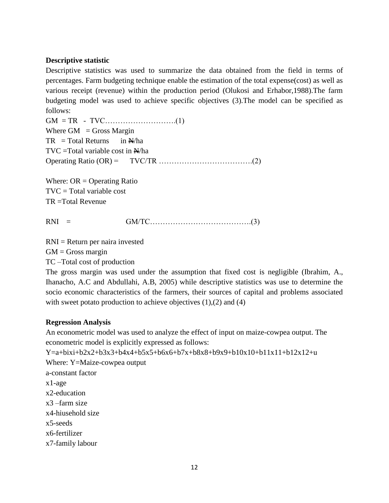#### **Descriptive statistic**

Descriptive statistics was used to summarize the data obtained from the field in terms of percentages. Farm budgeting technique enable the estimation of the total expense(cost) as well as various receipt (revenue) within the production period (Olukosi and Erhabor,1988).The farm budgeting model was used to achieve specific objectives (3).The model can be specified as follows:

GM = TR - TVC……………………….(1) Where  $GM =$  Gross Margin  $TR = Total Returns$  in  $N/ha$  $TVC = Total variable cost in  $\mathbb{N}/ha$$ Operating Ratio (OR) = TVC/TR ……………………………….(2)

Where:  $OR = Operating Ratio$  $TVC = Total variable cost$ TR =Total Revenue

RNI = GM/TC………………………………….(3)

RNI = Return per naira invested

 $GM =$  Gross margin

TC –Total cost of production

The gross margin was used under the assumption that fixed cost is negligible (Ibrahim, A., Ihanacho, A.C and Abdullahi, A.B, 2005) while descriptive statistics was use to determine the socio economic characteristics of the farmers, their sources of capital and problems associated with sweet potato production to achieve objectives  $(1),(2)$  and  $(4)$ 

#### **Regression Analysis**

An econometric model was used to analyze the effect of input on maize-cowpea output. The econometric model is explicitly expressed as follows:

 $Y=a+bixi+b2x2+b3x3+b4x4+b5x5+b6x6+b7x+b8x8+b9x9+b10x10+b11x11+b12x12+u$ Where: Y=Maize-cowpea output a-constant factor x1-age x2-education x3 –farm size x4-hiusehold size x5-seeds x6-fertilizer x7-family labour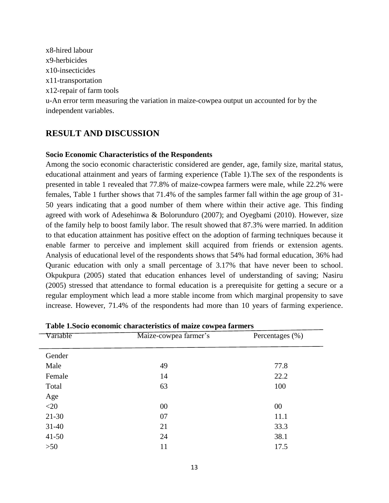x8-hired labour x9-herbicides x10-insecticides x11-transportation x12-repair of farm tools u-An error term measuring the variation in maize-cowpea output un accounted for by the independent variables.

# **RESULT AND DISCUSSION**

#### **Socio Economic Characteristics of the Respondents**

Among the socio economic characteristic considered are gender, age, family size, marital status, educational attainment and years of farming experience (Table 1).The sex of the respondents is presented in table 1 revealed that 77.8% of maize-cowpea farmers were male, while 22.2% were females, Table 1 further shows that 71.4% of the samples farmer fall within the age group of 31- 50 years indicating that a good number of them where within their active age. This finding agreed with work of Adesehinwa & Bolorunduro (2007); and Oyegbami (2010). However, size of the family help to boost family labor. The result showed that 87.3% were married. In addition to that education attainment has positive effect on the adoption of farming techniques because it enable farmer to perceive and implement skill acquired from friends or extension agents. Analysis of educational level of the respondents shows that 54% had formal education, 36% had Quranic education with only a small percentage of 3.17% that have never been to school. Okpukpura (2005) stated that education enhances level of understanding of saving; Nasiru (2005) stressed that attendance to formal education is a prerequisite for getting a secure or a regular employment which lead a more stable income from which marginal propensity to save increase. However, 71.4% of the respondents had more than 10 years of farming experience.

| Table Toocho economic characteristics or malle compea farmers |                       |                     |  |  |
|---------------------------------------------------------------|-----------------------|---------------------|--|--|
| Variable                                                      | Maize-cowpea farmer's | Percentages $(\% )$ |  |  |
| Gender                                                        |                       |                     |  |  |
| Male                                                          | 49                    | 77.8                |  |  |
| Female                                                        | 14                    | 22.2                |  |  |
| Total                                                         | 63                    | 100                 |  |  |
| Age                                                           |                       |                     |  |  |
| $<$ 20                                                        | 00                    | 00                  |  |  |
| $21 - 30$                                                     | 07                    | 11.1                |  |  |
| $31-40$                                                       | 21                    | 33.3                |  |  |
| $41 - 50$                                                     | 24                    | 38.1                |  |  |
| $>50$                                                         | 11                    | 17.5                |  |  |
|                                                               |                       |                     |  |  |

**Table 1.Socio economic characteristics of maize cowpea farmers**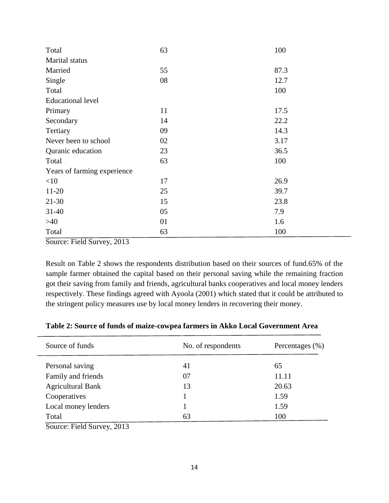| Total                       | 63 | 100  |
|-----------------------------|----|------|
| Marital status              |    |      |
| Married                     | 55 | 87.3 |
| Single                      | 08 | 12.7 |
| Total                       |    | 100  |
| <b>Educational level</b>    |    |      |
| Primary                     | 11 | 17.5 |
| Secondary                   | 14 | 22.2 |
| Tertiary                    | 09 | 14.3 |
| Never been to school        | 02 | 3.17 |
| Quranic education           | 23 | 36.5 |
| Total                       | 63 | 100  |
| Years of farming experience |    |      |
| <10                         | 17 | 26.9 |
| $11-20$                     | 25 | 39.7 |
| $21-30$                     | 15 | 23.8 |
| $31 - 40$                   | 05 | 7.9  |
| >40                         | 01 | 1.6  |
| Total                       | 63 | 100  |

Source: Field Survey, 2013

Result on Table 2 shows the respondents distribution based on their sources of fund.65% of the sample farmer obtained the capital based on their personal saving while the remaining fraction got their saving from family and friends, agricultural banks cooperatives and local money lenders respectively. These findings agreed with Ayoola (2001) which stated that it could be attributed to the stringent policy measures use by local money lenders in recovering their money.

| Source of funds          | No. of respondents | Percentages $(\% )$ |
|--------------------------|--------------------|---------------------|
| Personal saving          | 41                 | 65                  |
| Family and friends       | 07                 | 11.11               |
| <b>Agricultural Bank</b> | 13                 | 20.63               |
| Cooperatives             |                    | 1.59                |
| Local money lenders      |                    | 1.59                |
| Total                    | 63                 | 100                 |

**Table 2: Source of funds of maize-cowpea farmers in Akko Local Government Area**

Source: Field Survey, 2013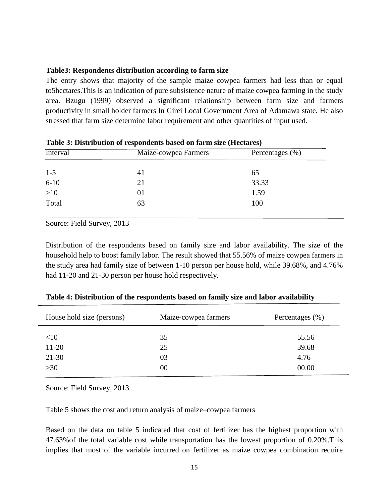#### **Table3: Respondents distribution according to farm size**

The entry shows that majority of the sample maize cowpea farmers had less than or equal to5hectares.This is an indication of pure subsistence nature of maize cowpea farming in the study area. Bzugu (1999) observed a significant relationship between farm size and farmers productivity in small holder farmers In Girei Local Government Area of Adamawa state. He also stressed that farm size determine labor requirement and other quantities of input used.

| <b>Interval</b> | Maize-cowpea Farmers | Percentages $(\%)$ |
|-----------------|----------------------|--------------------|
| $1 - 5$         | 41                   | 65                 |
| $6 - 10$        | 21                   | 33.33              |
| $>10$           | 01                   | 1.59               |
| Total           | 63                   | 100                |

**Table 3: Distribution of respondents based on farm size (Hectares)**

Source: Field Survey, 2013

Distribution of the respondents based on family size and labor availability. The size of the household help to boost family labor. The result showed that 55.56% of maize cowpea farmers in the study area had family size of between 1-10 person per house hold, while 39.68%, and 4.76% had 11-20 and 21-30 person per house hold respectively.

| House hold size (persons) | Maize-cowpea farmers | Percentages $(\% )$ |
|---------------------------|----------------------|---------------------|
| <10                       | 35                   | 55.56               |
| $11-20$                   | 25                   | 39.68               |
| $21 - 30$                 | 03                   | 4.76                |
| $>30$                     | 00                   | 00.00               |

**Table 4: Distribution of the respondents based on family size and labor availability**

Source: Field Survey, 2013

Table 5 shows the cost and return analysis of maize–cowpea farmers

Based on the data on table 5 indicated that cost of fertilizer has the highest proportion with 47.63%of the total variable cost while transportation has the lowest proportion of 0.20%.This implies that most of the variable incurred on fertilizer as maize cowpea combination require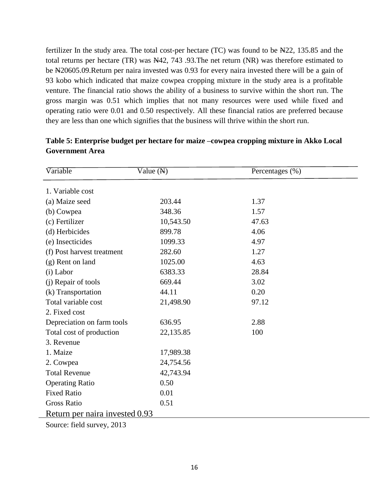fertilizer In the study area. The total cost-per hectare (TC) was found to be N22, 135.85 and the total returns per hectare (TR) was N42, 743 .93.The net return (NR) was therefore estimated to be N20605.09.Return per naira invested was 0.93 for every naira invested there will be a gain of 93 kobo which indicated that maize cowpea cropping mixture in the study area is a profitable venture. The financial ratio shows the ability of a business to survive within the short run. The gross margin was 0.51 which implies that not many resources were used while fixed and operating ratio were 0.01 and 0.50 respectively. All these financial ratios are preferred because they are less than one which signifies that the business will thrive within the short run.

| Variable                       | Value $(N)$ | Percentages (%) |  |  |
|--------------------------------|-------------|-----------------|--|--|
|                                |             |                 |  |  |
| 1. Variable cost               |             |                 |  |  |
| (a) Maize seed                 | 203.44      | 1.37            |  |  |
| (b) Cowpea                     | 348.36      | 1.57            |  |  |
| (c) Fertilizer                 | 10,543.50   | 47.63           |  |  |
| (d) Herbicides                 | 899.78      | 4.06            |  |  |
| (e) Insecticides               | 1099.33     | 4.97            |  |  |
| (f) Post harvest treatment     | 282.60      | 1.27            |  |  |
| (g) Rent on land               | 1025.00     | 4.63            |  |  |
| (i) Labor                      | 6383.33     | 28.84           |  |  |
| (j) Repair of tools            | 669.44      | 3.02            |  |  |
| (k) Transportation             | 44.11       | 0.20            |  |  |
| Total variable cost            | 21,498.90   | 97.12           |  |  |
| 2. Fixed cost                  |             |                 |  |  |
| Depreciation on farm tools     | 636.95      | 2.88            |  |  |
| Total cost of production       | 22,135.85   | 100             |  |  |
| 3. Revenue                     |             |                 |  |  |
| 1. Maize                       | 17,989.38   |                 |  |  |
| 2. Cowpea                      | 24,754.56   |                 |  |  |
| <b>Total Revenue</b>           | 42,743.94   |                 |  |  |
| <b>Operating Ratio</b>         | 0.50        |                 |  |  |
| <b>Fixed Ratio</b>             | 0.01        |                 |  |  |
| <b>Gross Ratio</b>             | 0.51        |                 |  |  |
| Return per naira invested 0.93 |             |                 |  |  |
| Source: field survey, 2013     |             |                 |  |  |

### **Table 5: Enterprise budget per hectare for maize –cowpea cropping mixture in Akko Local Government Area**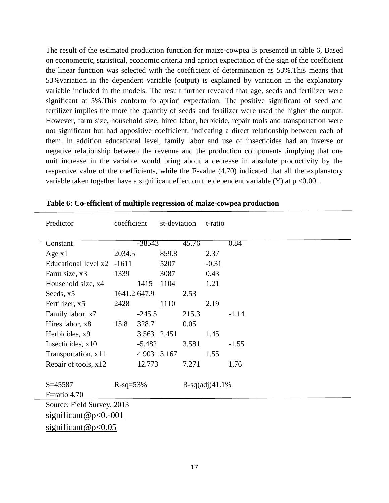The result of the estimated production function for maize-cowpea is presented in table 6, Based on econometric, statistical, economic criteria and apriori expectation of the sign of the coefficient the linear function was selected with the coefficient of determination as 53%.This means that 53%variation in the dependent variable (output) is explained by variation in the explanatory variable included in the models. The result further revealed that age, seeds and fertilizer were significant at 5%.This conform to apriori expectation. The positive significant of seed and fertilizer implies the more the quantity of seeds and fertilizer were used the higher the output. However, farm size, household size, hired labor, herbicide, repair tools and transportation were not significant but had appositive coefficient, indicating a direct relationship between each of them. In addition educational level, family labor and use of insecticides had an inverse or negative relationship between the revenue and the production components .implying that one unit increase in the variable would bring about a decrease in absolute productivity by the respective value of the coefficients, while the F-value (4.70) indicated that all the explanatory variable taken together have a significant effect on the dependent variable  $(Y)$  at  $p \le 0.001$ .

| Predictor                  | coefficient   | st-deviation |       | t-ratio          |         |
|----------------------------|---------------|--------------|-------|------------------|---------|
| Constant                   | -38543        |              | 45.76 |                  | 0.84    |
| Age $x1$                   | 2034.5        | 859.8        |       | 2.37             |         |
| Educational level x2       | $-1611$       | 5207         |       | $-0.31$          |         |
| Farm size, x3              | 1339          | 3087         |       | 0.43             |         |
| Household size, x4         | 1415          | 1104         |       | 1.21             |         |
| Seeds, x5                  | 1641.2 647.9  |              | 2.53  |                  |         |
| Fertilizer, x5             | 2428          | 1110         |       | 2.19             |         |
| Family labor, x7           | $-245.5$      |              | 215.3 |                  | $-1.14$ |
| Hires labor, x8            | 328.7<br>15.8 |              | 0.05  |                  |         |
| Herbicides, x9             |               | 3.563 2.451  |       | 1.45             |         |
| Insecticides, x10          | $-5.482$      |              | 3.581 |                  | $-1.55$ |
| Transportation, x11        |               | 4.903 3.167  |       | 1.55             |         |
| Repair of tools, x12       | 12.773        |              | 7.271 |                  | 1.76    |
|                            |               |              |       |                  |         |
| $S = 45587$                | $R-sq=53%$    |              |       | $R-sq(adj)41.1%$ |         |
| F=ratio 4.70               |               |              |       |                  |         |
| Source: Field Survey, 2013 |               |              |       |                  |         |
| $significant@p<0.-001$     |               |              |       |                  |         |
| significant@p< $0.05$      |               |              |       |                  |         |
|                            |               |              |       |                  |         |

**Table 6: Co-efficient of multiple regression of maize-cowpea production**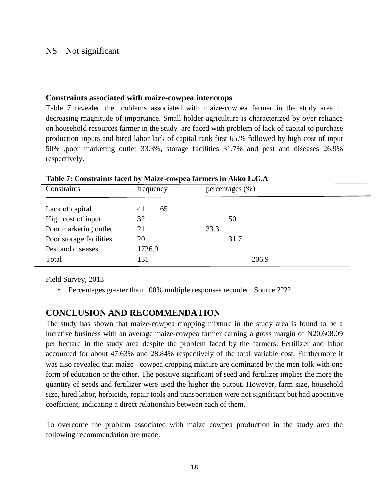#### NS Not significant

#### **Constraints associated with maize-cowpea intercrops**

Table 7 revealed the problems associated with maize-cowpea farmer in the study area in decreasing magnitude of importance. Small holder agriculture is characterized by over reliance on household resources farmer in the study are faced with problem of lack of capital to purchase production inputs and hired labor lack of capital rank first 65.% followed by high cost of input 50% ,poor marketing outlet 33.3%, storage facilities 31.7% and pest and diseases 26.9% respectively.

| Table 7. Constraints faced by malle-compea farmers in AKKO E.G.A |           |                     |  |
|------------------------------------------------------------------|-----------|---------------------|--|
| Constraints                                                      | frequency | percentages $(\% )$ |  |
|                                                                  |           |                     |  |
| Lack of capital                                                  | 65<br>41  |                     |  |
| High cost of input                                               | 32        | 50                  |  |
| Poor marketing outlet                                            | 21        | 33.3                |  |
| Poor storage facilities                                          | 20        | 31.7                |  |
| Pest and diseases                                                | 1726.9    |                     |  |
| Total                                                            | 131       | 206.9               |  |

**Table 7: Constraints faced by Maize-cowpea farmers in Akko L.G.A**

Field Survey, 2013

\* Percentages greater than 100% multiple responses recorded. Source:????

#### **CONCLUSION AND RECOMMENDATION**

The study has shown that maize-cowpea cropping mixture in the study area is found to be a lucrative business with an average maize-cowpea farmer earning a gross margin of N20,608.09 per hectare in the study area despite the problem faced by the farmers. Fertilizer and labor accounted for about 47.63% and 28.84% respectively of the total variable cost. Furthermore it was also revealed that maize –cowpea cropping mixture are dominated by the men folk with one form of education or the other. The positive significant of seed and fertilizer implies the more the quantity of seeds and fertilizer were used the higher the output. However, farm size, household size, hired labor, herbicide, repair tools and transportation were not significant but had appositive coefficient, indicating a direct relationship between each of them.

To overcome the problem associated with maize cowpea production in the study area the following recommendation are made: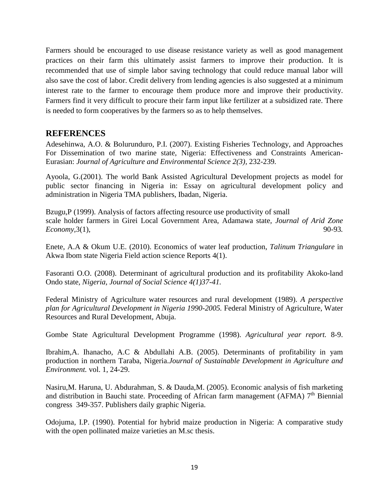Farmers should be encouraged to use disease resistance variety as well as good management practices on their farm this ultimately assist farmers to improve their production. It is recommended that use of simple labor saving technology that could reduce manual labor will also save the cost of labor. Credit delivery from lending agencies is also suggested at a minimum interest rate to the farmer to encourage them produce more and improve their productivity. Farmers find it very difficult to procure their farm input like fertilizer at a subsidized rate. There is needed to form cooperatives by the farmers so as to help themselves.

## **REFERENCES**

Adesehinwa, A.O. & Bolurunduro, P.I. (2007). Existing Fisheries Technology, and Approaches For Dissemination of two marine state, Nigeria: Effectiveness and Constraints American-Eurasian: *Journal of Agriculture and Environmental Science 2(3),* 232-239*.*

Ayoola, G.(2001). The world Bank Assisted Agricultural Development projects as model for public sector financing in Nigeria in: Essay on agricultural development policy and administration in Nigeria TMA publishers, Ibadan, Nigeria.

Bzugu,P (1999). Analysis of factors affecting resource use productivity of small scale holder farmers in Girei Local Government Area, Adamawa state*, Journal of Arid Zone Economy*, 3(1), 90-93.

Enete, A.A & Okum U.E. (2010). Economics of water leaf production, *Talinum Triangulare* in Akwa Ibom state Nigeria Field action science Reports 4(1).

Fasoranti O.O. (2008). Determinant of agricultural production and its profitability Akoko-land Ondo state*, Nigeria, Journal of Social Science 4(1)37-41.*

Federal Ministry of Agriculture water resources and rural development (1989). *A perspective plan for Agricultural Development in Nigeria 1990-2005.* Federal Ministry of Agriculture, Water Resources and Rural Development, Abuja.

Gombe State Agricultural Development Programme (1998). *Agricultural year report.* 8-9.

Ibrahim,A. Ihanacho, A.C & Abdullahi A.B. (2005). Determinants of profitability in yam production in northern Taraba, Nigeria.*Journal of Sustainable Development in Agriculture and Environment.* vol. 1, 24-29.

Nasiru,M. Haruna, U. Abdurahman, S. & Dauda,M. (2005). Economic analysis of fish marketing and distribution in Bauchi state. Proceeding of African farm management (AFMA)  $7<sup>th</sup>$  Biennial congress 349-357. Publishers daily graphic Nigeria.

Odojuma, I.P. (1990). Potential for hybrid maize production in Nigeria: A comparative study with the open pollinated maize varieties an M.sc thesis.